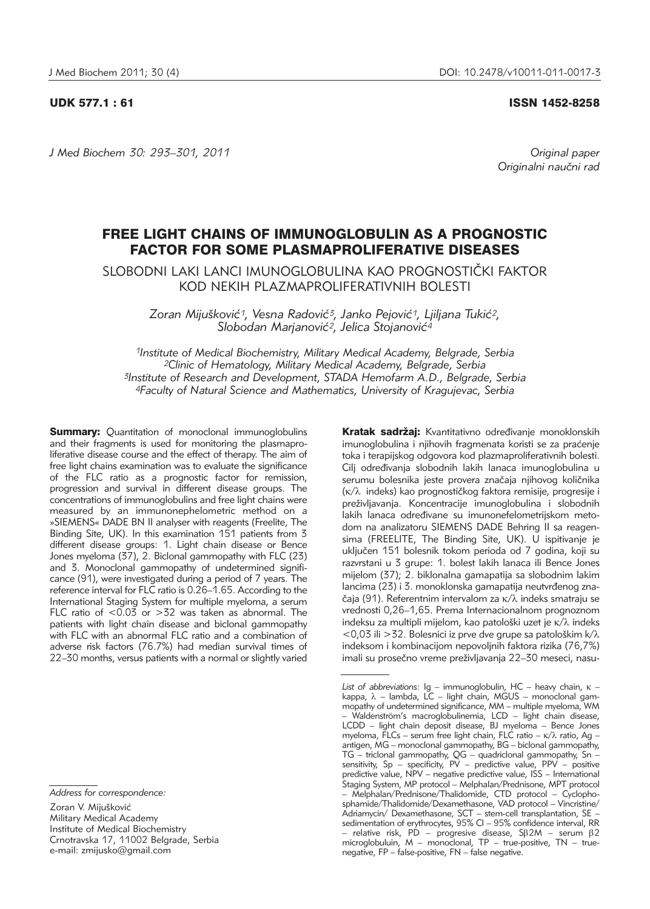# UDK 577.1 : 61 ISSN 1452-8258

*J Med Biochem 30: 293–301, 2011 Original paper*

Originalni naučni rad

# FREE LIGHT CHAINS OF IMMUNOGLOBULIN AS A PROGNOSTIC FACTOR FOR SOME PLASMAPROLIFERATIVE DISEASES

SLOBODNI LAKI LANCI IMUNOGLOBULINA KAO PROGNOSTIČKI FAKTOR KOD NEKIH PLAZMAPROLIFERATIVNIH BOLESTI

*Zoran Miju{kovi}1, Vesna Radovi}3, Janko Pejovi}1, Ljiljana Tuki}2, Slobodan Marjanovi}2, Jelica Stojanovi}4*

*1Institute of Medical Biochemistry, Military Medical Academy, Belgrade, Serbia 2Clinic of Hematology, Military Medical Academy, Belgrade, Serbia 3Institute of Research and Development, STADA Hemofarm A.D., Belgrade, Serbia 4Faculty of Natural Science and Mathematics, University of Kragujevac, Serbia*

**Summary:** Quantitation of monoclonal immunoglobulins and their fragments is used for monitoring the plasmaproliferative disease course and the effect of therapy. The aim of free light chains examination was to evaluate the significance of the FLC ratio as a prognostic factor for remission, progression and survival in different disease groups. The concentrations of immunoglobulins and free light chains were measured by an immunonephelometric method on a »SIEMENS« DADE BN II analyser with reagents (Freelite, The Binding Site, UK). In this examination 151 patients from 3 different disease groups: 1. Light chain disease or Bence Jones myeloma (37), 2. Biclonal gammopathy with FLC (23) and 3. Monoclonal gammopathy of undetermined significance (91), were investigated during a period of 7 years. The reference interval for FLC ratio is 0.26–1.65. According to the International Staging System for multiple myeloma, a serum FLC ratio of  $\leq 0.03$  or  $>32$  was taken as abnormal. The patients with light chain disease and biclonal gammopathy with FLC with an abnormal FLC ratio and a combination of adverse risk factors (76.7%) had median survival times of 22–30 months, versus patients with a normal or slightly varied

Zoran V. Mijušković Military Medical Academy Institute of Medical Biochemistry Crnotravska 17, 11002 Belgrade, Serbia e-mail: zmijusko@gmail.com

Kratak sadržaj: Kvantitativno određivanje monoklonskih imunoglobulina i njihovih fragmenata koristi se za praćenje toka i terapijskog odgovora kod plazmaproliferativnih bolesti. Cilj određivanja slobodnih lakih lanaca imunoglobulina u serumu bolesnika jeste provera značaja njihovog količnika  $(k/\lambda)$  indeks) kao prognostičkog faktora remisije, progresije i preživljavanja. Koncentracije imunoglobulina i slobodnih lakih lanaca određivane su imunonefelometrijskom metodom na analizatoru SIEMENS DADE Behring II sa reagensima (FREELITE, The Binding Site, UK). U ispitivanje je uključen 151 bolesnik tokom perioda od 7 godina, koji su razvrstani u 3 grupe: 1. bolest lakih lanaca ili Bence Jones mijelom (37); 2. biklonalna gamapatija sa slobodnim lakim lancima (23) i 3. monoklonska gamapatija neutvrđenog značaja (91). Referentnim intervalom za  $\kappa/\lambda$  indeks smatraju se vrednosti 0,26-1,65. Prema Internacionalnom prognoznom indeksu za multipli mijelom, kao patološki uzet je  $\kappa/\lambda$  indeks  $<$  0,03 ili > 32. Bolesnici iz prve dve grupe sa patološkim k $/\lambda$ indeksom i kombinacijom nepovoljnih faktora rizika (76,7%) imali su prosečno vreme preživljavanja 22–30 meseci, nasu-

*Address for correspondence:*

List of abbreviations: Ig – immunoglobulin, HC – heavy chain,  $\kappa$  – kappa, λ – lambda, LC – light chain, MGUS – monoclonal gammopathy of undetermined significance, MM – multiple myeloma, WM – Waldenström's macroglobulinemia, LCD – light chain disease, LCDD – light chain deposit disease, BJ myeloma – Bence Jones myeloma, FLCs – serum free light chain, FLC ratio –  $\kappa/\lambda$  ratio, Ag – antigen,  $MG$  – monoclonal gammopathy,  $BG$  – biclonal gammopathy, TG – triclonal gammopathy, QG – quadriclonal gam mopathy, Sn – sensitivity, Sp – specificity, PV – predictive value, PPV – positive predictive value, NPV – negative predictive value, ISS – International Staging System, MP protocol - Melphalan/Prednisone, MPT protocol Melphalan/Prednisone/Thalidomide, CTD protocol – Cyclophosphamide/Thalidomide/Dexamethasone, VAD protocol – Vincristine/ Adriamycin/ Dexamethasone, SCT – stem-cell transplantation, SE – sedimentation of erythrocytes, 95% CI – 95% confidence interval, RR – relative risk, PD – progresive disease, S $\beta$ 2M – serum  $\beta$ 2 microglobuluin, M – monoclonal, TP – true-positive, TN – truenegative, FP – false-positive, FN – false negative.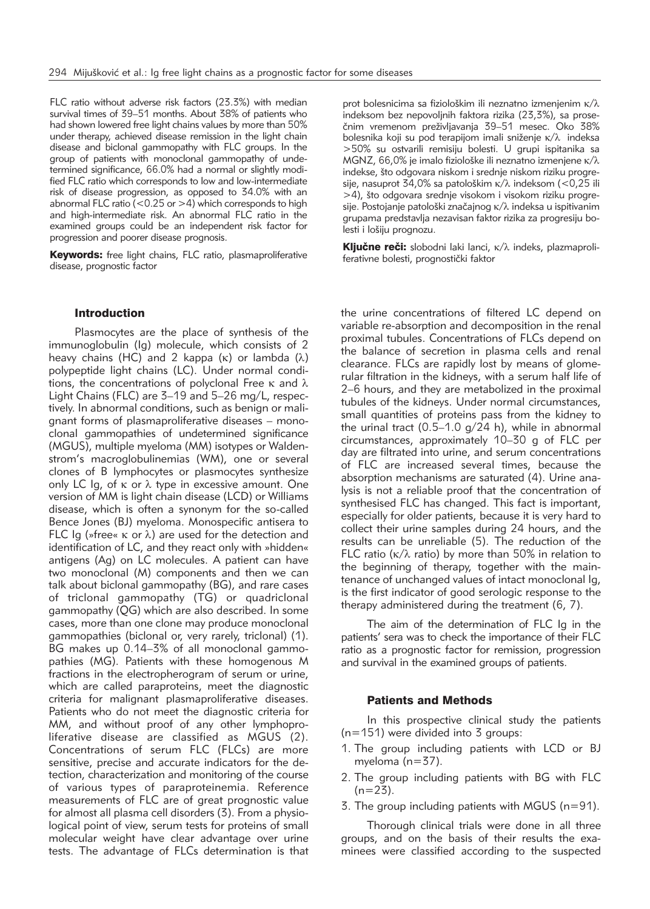FLC ratio without adverse risk factors (23.3%) with median survival times of 39–51 months. About 38% of patients who had shown lowered free light chains values by more than 50% under therapy, achieved disease remission in the light chain disease and biclonal gammopathy with FLC groups. In the group of patients with monoclonal gammopathy of undetermined significance, 66.0% had a normal or slightly modified FLC ratio which corresponds to low and low-intermediate risk of disease progression, as opposed to 34.0% with an abnormal FLC ratio ( $< 0.25$  or  $> 4$ ) which corresponds to high and high-intermediate risk. An abnormal FLC ratio in the examined groups could be an independent risk factor for progression and poorer disease prognosis.

Keywords: free light chains, FLC ratio, plasmaproliferative disease, prognostic factor

### Introduction

Plasmocytes are the place of synthesis of the immunoglobulin (Ig) molecule, which consists of 2 heavy chains (HC) and 2 kappa  $(\kappa)$  or lambda  $(\lambda)$ polypeptide light chains (LC). Under normal conditions, the concentrations of polyclonal Free  $\kappa$  and  $\lambda$ Light Chains (FLC) are 3-19 and 5-26 mg/L, respectively. In abnormal conditions, such as benign or malignant forms of plasmaproliferative diseases – monoclonal gammopathies of undetermined significance (MGUS), multiple myeloma (MM) isotypes or Waldenstrom's macroglobulinemias (WM), one or several clones of B lymphocytes or plasmocytes synthesize only LC Ig, of  $\kappa$  or  $\lambda$  type in excessive amount. One version of MM is light chain disease (LCD) or Williams disease, which is often a synonym for the so-called Bence Jones (BJ) myeloma. Monospecific antisera to FLC Ig (»free«  $\kappa$  or  $\lambda$ ) are used for the detection and identification of LC, and they react only with »hidden« antigens (Ag) on LC molecules. A patient can have two monoclonal (M) components and then we can talk about biclonal gammopathy (BG), and rare cases of triclonal gammopathy (TG) or quadriclonal gammopathy (QG) which are also described. In some cases, more than one clone may produce monoclonal gammopathies (biclonal or, very rarely, triclonal) (1). BG makes up 0.14–3% of all monoclonal gammopathies (MG). Patients with these homogenous M fractions in the electropherogram of serum or urine, which are called paraproteins, meet the diagnostic criteria for malignant plasma proliferative diseases. Patients who do not meet the diagnostic criteria for MM, and without proof of any other lymphoproliferative disease are classified as MGUS (2). Concentrations of serum FLC (FLCs) are more sensitive, precise and accurate indicators for the detection, characterization and monitoring of the course of various types of paraproteinemia. Reference measurements of FLC are of great prognostic value for almost all plasma cell disorders (3). From a physiological point of view, serum tests for proteins of small molecular weight have clear advantage over urine tests. The advantage of FLCs determination is that

prot bolesnicima sa fiziološkim ili neznatno izmenjenim  $\kappa/\lambda$ indeksom bez nepovoljnih faktora rizika (23,3%), sa prosečnim vremenom preživljavanja 39-51 mesec. Oko 38% bolesnika koji su pod terapijom imali sniženje  $\kappa/\lambda$  indeksa >50% su ostvarili remisiju bolesti. U grupi ispitanika sa MGNZ, 66,0% je imalo fiziološke ili neznatno izmenjene  $\kappa/\lambda$ indekse, što odgovara niskom i srednje niskom riziku progresije, nasuprot  $34,0\%$  sa patološkim  $\kappa/\lambda$  indeksom (<0,25 ili >4), što odgovara srednje visokom i visokom riziku progresije. Postojanje patološki značajnog  $\kappa/\lambda$  indeksa u ispitivanim grupama predstavlja nezavisan faktor rizika za progresiju bolesti i lošiju prognozu.

**Ključne reči:** slobodni laki lanci,  $\kappa/\lambda$  indeks, plazmaproliferativne bolesti, prognostički faktor

the urine concentrations of filtered LC depend on variable re-absorption and decomposition in the renal proximal tubules. Concentrations of FLCs depend on the balance of secretion in plasma cells and renal clearance. FLCs are rapidly lost by means of glomerular filtration in the kidneys, with a serum half life of 2–6 hours, and they are metabolized in the proximal tubules of the kidneys. Under normal circum stances, small quantities of proteins pass from the kidney to the urinal tract  $(0.5-1.0 \text{ g}/24 \text{ h})$ , while in abnormal circumstances, approximately 10–30 g of FLC per day are filtrated into urine, and serum concentrations of FLC are increased several times, because the absorption mechanisms are saturated (4). Urine analysis is not a reliable proof that the concentration of synthesised FLC has changed. This fact is important, especially for older patients, because it is very hard to collect their urine samples during 24 hours, and the results can be unreliable (5). The reduction of the FLC ratio ( $\kappa/\lambda$  ratio) by more than 50% in relation to the beginning of therapy, together with the maintenance of unchanged values of intact monoclonal Ig, is the first indicator of good serologic response to the therapy administered during the treatment (6, 7).

The aim of the determination of FLC Ig in the patients' sera was to check the importance of their FLC ratio as a prognostic factor for remission, progression and survival in the examined groups of patients.

# Patients and Methods

In this prospective clinical study the patients (n=151) were divided into 3 groups:

- 1. The group including patients with LCD or BJ myeloma (n=37).
- 2. The group including patients with BG with FLC  $(n=23)$ .
- 3. The group including patients with MGUS (n=91).

Thorough clinical trials were done in all three groups, and on the basis of their results the examinees were classified according to the suspected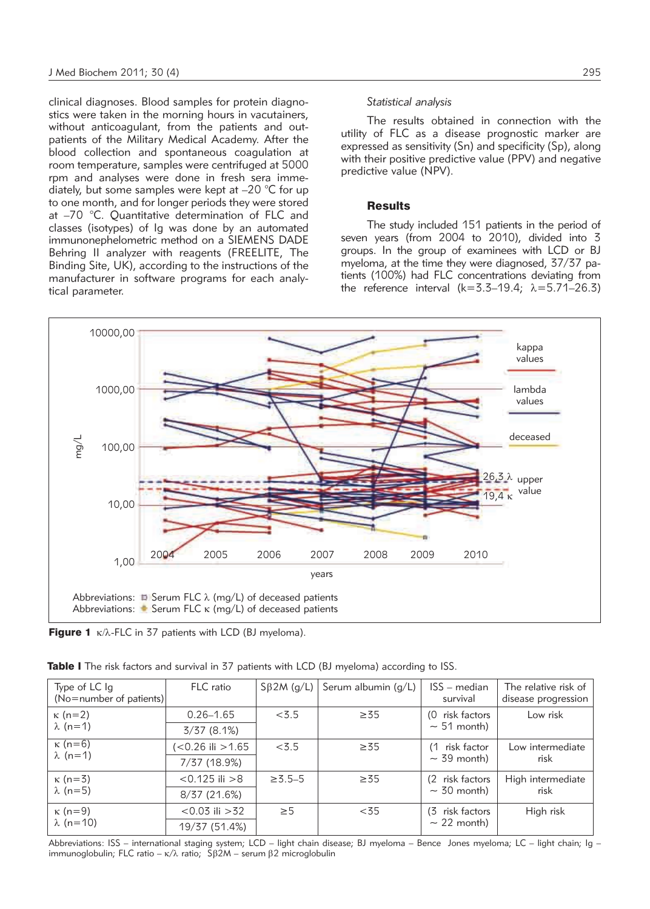clinical diagnoses. Blood samples for protein diagnostics were taken in the morning hours in vacutainers, without anticoagulant, from the patients and outpatients of the Military Medical Academy. After the blood collection and spontaneous coagulation at room temperature, samples were centrifuged at 5000 rpm and analyses were done in fresh sera immediately, but some samples were kept at –20 °C for up to one month, and for longer periods they were stored at  $-70$  °C. Quantitative determination of FLC and classes (isotypes) of Ig was done by an automated immunonephelometric method on a SIEMENS DADE Behring II analyzer with reagents (FREELITE, The Binding Site, UK), according to the instructions of the manufacturer in software programs for each analytical parameter.

# *Statistical analysis*

The results obtained in connection with the utility of FLC as a disease prognostic marker are expressed as sensitivity (Sn) and specificity (Sp), along with their positive predictive value (PPV) and negative predictive value (NPV).

## **Results**

The study included 151 patients in the period of seven years (from 2004 to 2010), divided into 3 groups. In the group of examinees with LCD or BJ myeloma, at the time they were diagnosed, 37/37 patients (100%) had FLC concentrations deviating from the reference interval  $(k=3.3-19.4; \lambda=5.71-26.3)$ 



Figure 1  $\kappa/\lambda$ -FLC in 37 patients with LCD (BJ myeloma).

| Type of LC Ig<br>(No=number of patients) | FLC ratio           | $S\beta 2M$ (g/L) | Serum albumin $(g/L)$ | ISS - median<br>survival | The relative risk of<br>disease progression |
|------------------------------------------|---------------------|-------------------|-----------------------|--------------------------|---------------------------------------------|
| $\kappa$ (n=2)<br>$\lambda$ (n=1)        | $0.26 - 1.65$       | < 3.5             | $\geq 35$             | (0 risk factors          | Low risk                                    |
|                                          | 3/37(8.1%)          |                   |                       | $\sim$ 51 month)         |                                             |
| $\kappa$ (n=6)<br>$\lambda$ (n=1)        | $<$ 0.26 ili > 1.65 | < 3.5             | $\geq 35$             | (1 risk factor           | Low intermediate<br>risk                    |
|                                          | 7/37 (18.9%)        |                   |                       | $\sim$ 39 month)         |                                             |
| $\kappa$ (n=3)<br>$\lambda$ (n=5)        | $< 0.125$ ili $> 8$ | $\ge 3.5 - 5$     | $\geq 35$             | (2 risk factors          | High intermediate<br>risk                   |
|                                          | 8/37(21.6%)         |                   |                       | $\sim$ 30 month)         |                                             |
| $\kappa$ (n=9)<br>$\lambda$ (n=10)       | $< 0.03$ ili $> 32$ | $\geq 5$          | < 35                  | (3 risk factors          | High risk                                   |
|                                          | 19/37 (51.4%)       |                   |                       | $\sim$ 22 month)         |                                             |

Abbreviations: ISS – international staging system; LCD – light chain disease; BJ myeloma – Bence Jones myeloma; LC – light chain; Ig – immunoglobulin; FLC ratio –  $\kappa/\lambda$  ratio; S $\beta$ 2M – serum  $\beta$ 2 microglobulin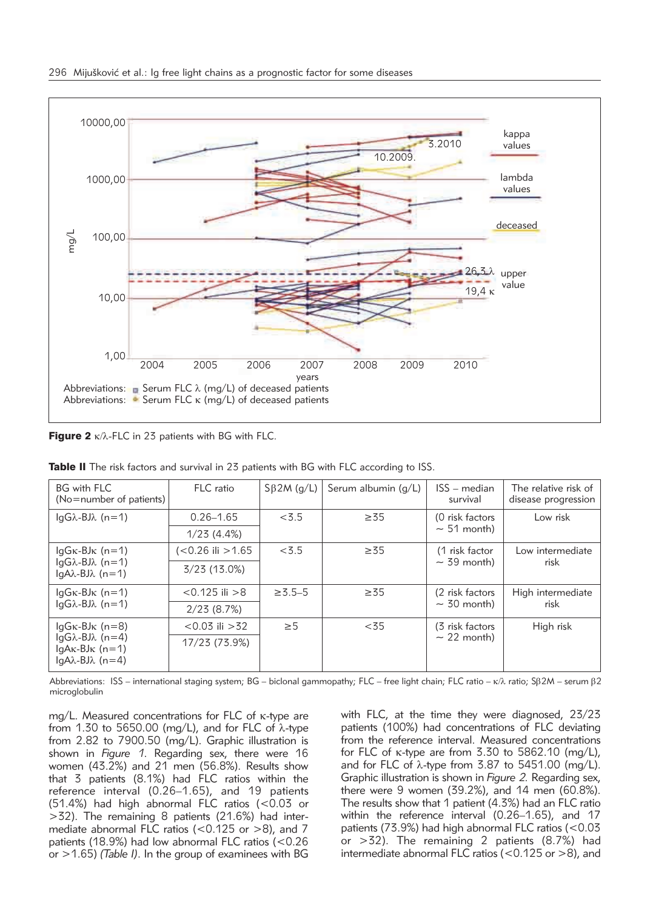

**Figure 2**  $K/\lambda$ -FLC in 23 patients with BG with FLC.

| <b>BG</b> with FLC<br>(No=number of patients)                                                                   | FLC ratio           | $S\beta 2M$ (g/L) | Serum albumin (g/L) | ISS - median<br>survival            | The relative risk of<br>disease progression |
|-----------------------------------------------------------------------------------------------------------------|---------------------|-------------------|---------------------|-------------------------------------|---------------------------------------------|
| $\overline{a}$ $\overline{a}$ $\lambda$ -BJ $\lambda$ (n=1)                                                     | $0.26 - 1.65$       | < 3.5             | $\geq 35$           | (0 risk factors<br>$\sim$ 51 month) | Low risk                                    |
|                                                                                                                 | 1/23(4.4%)          |                   |                     |                                     |                                             |
| $lqGk-BJk$ (n=1)<br>$\text{lgG} \lambda - \text{BJ} \lambda$ (n=1)<br>$ qA\lambda-BJ\lambda (n=1) $             | (<0.26 ili >1.65    | < 3.5             | $\geq 35$           | (1 risk factor<br>$\sim$ 39 month)  | Low intermediate<br>risk                    |
|                                                                                                                 | $3/23$ (13.0%)      |                   |                     |                                     |                                             |
| $lgG\kappa-BJ\kappa$ (n=1)<br>$\text{lgG} \lambda - \text{BJ} \lambda$ (n=1)                                    | $< 0.125$ ili $> 8$ | $\ge 3.5 - 5$     | $\geq 35$           | (2 risk factors<br>$\sim$ 30 month) | High intermediate<br>risk                   |
|                                                                                                                 | 2/23(8.7%)          |                   |                     |                                     |                                             |
| $lgG\kappa-BJ\kappa$ (n=8)<br>$lgG\lambda-BJ\lambda$ (n=4)<br>$lqAx-BJK (n=1)$<br>$ qA\lambda-BJ\lambda (n=4) $ | $< 0.03$ ili $> 32$ | $\geq 5$          | < 35                | (3 risk factors<br>$\sim$ 22 month) | High risk                                   |
|                                                                                                                 | 17/23 (73.9%)       |                   |                     |                                     |                                             |

**Table II** The risk factors and survival in 23 patients with BG with FLC according to ISS.

Abbreviations: ISS – international staging system; BG – biclonal gammopathy; FLC – free light chain; FLC ratio –  $\kappa/\lambda$  ratio; S $\beta$ 2M – serum  $\beta$ 2 microglobulin

mg/L. Measured concentrations for FLC of k-type are from 1.30 to 5650.00 (mg/L), and for FLC of  $\lambda$ -type from 2.82 to 7900.50 (mg/L). Graphic illustration is shown in *Figure 1*. Regarding sex, there were 16 women (43.2%) and 21 men (56.8%). Results show that 3 patients (8.1%) had FLC ratios within the reference interval (0.26–1.65), and 19 patients (51.4%) had high abnormal FLC ratios (<0.03 or  $>32$ ). The remaining 8 patients (21.6%) had intermediate abnormal FLC ratios (<0.125 or >8), and 7 patients (18.9%) had low abnormal FLC ratios (<0.26 or >1.65) *(Table I)*. In the group of examinees with BG

with FLC, at the time they were diagnosed, 23/23 patients (100%) had concentrations of FLC deviating from the reference interval. Measured concentrations for FLC of  $\kappa$ -type are from 3.30 to 5862.10 (mg/L), and for FLC of  $\lambda$ -type from 3.87 to 5451.00 (mg/L). Graphic illustration is shown in *Figure 2.* Regarding sex, there were 9 women (39.2%), and 14 men (60.8%). The results show that 1 patient (4.3%) had an FLC ratio within the reference interval (0.26–1.65), and 17 patients (73.9%) had high abnormal FLC ratios (<0.03 or >32). The remaining 2 patients (8.7%) had intermediate abnormal FLC ratios ( $<$  0.125 or  $>$ 8), and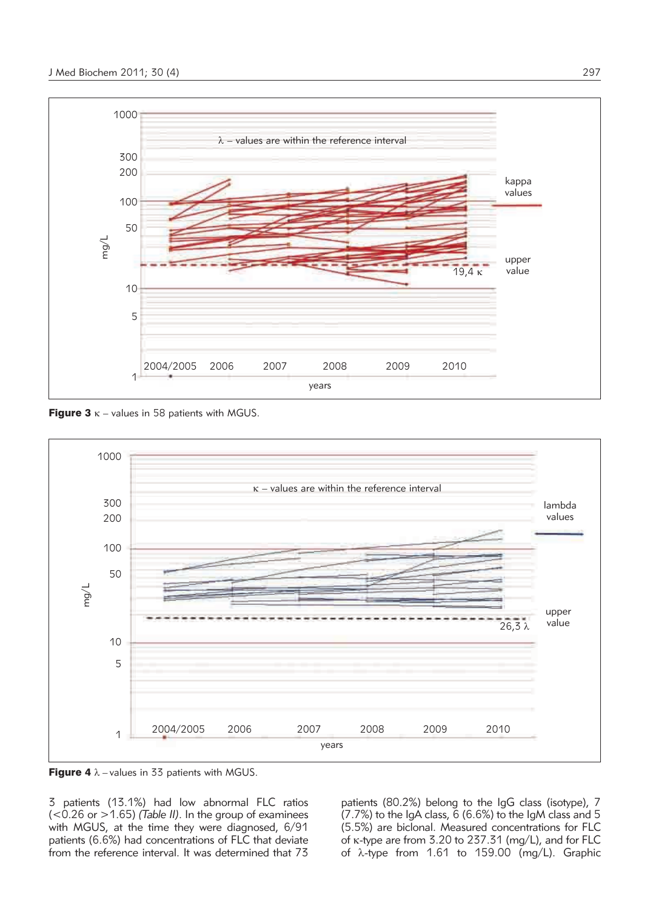

**Figure 3**  $\kappa$  – values in 58 patients with MGUS.



Figure 4  $\lambda$  – values in 33 patients with MGUS.

3 patients (13.1%) had low abnormal FLC ratios (<0.26 or >1.65) *(Table II)*. In the group of examinees with MGUS, at the time they were diagnosed, 6/91 patients (6.6%) had concentrations of FLC that deviate from the reference interval. It was determined that 73

patients (80.2%) belong to the IgG class (isotype), 7 (7.7%) to the IgA class, 6 (6.6%) to the IgM class and 5 (5.5%) are biclonal. Measured concentrations for FLC of k-type are from 3.20 to 237.31 (mg/L), and for FLC of  $\lambda$ -type from 1.61 to 159.00 (mg/L). Graphic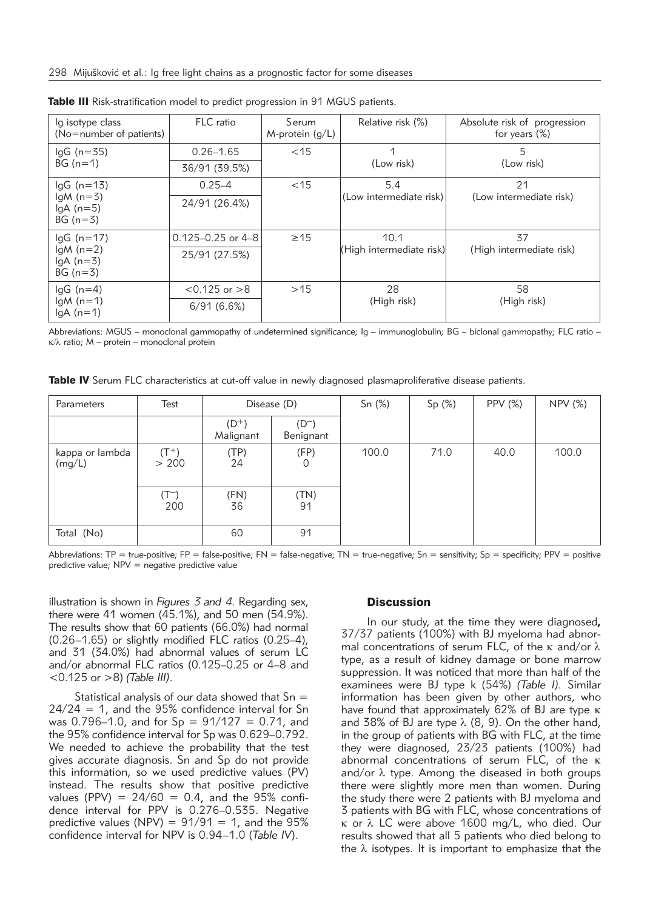| lg isotype class<br>(No=number of patients)           | FLC ratio             | Serum<br>M-protein $(q/L)$ | Relative risk (%)        | Absolute risk of progression<br>for years $(\%)$ |  |  |
|-------------------------------------------------------|-----------------------|----------------------------|--------------------------|--------------------------------------------------|--|--|
| $lgG$ (n=35)<br>$BG(n=1)$                             | $0.26 - 1.65$         | $<$ 15                     |                          | 5<br>(Low risk)                                  |  |  |
|                                                       | 36/91 (39.5%)         |                            | (Low risk)               |                                                  |  |  |
| $lgG$ (n=13)<br>$lgM(n=3)$<br>$lgA(n=5)$<br>$BG(n=3)$ | $0.25 - 4$            | $<$ 15                     | 5.4                      | 21                                               |  |  |
|                                                       | 24/91 (26.4%)         |                            | (Low intermediate risk)  | (Low intermediate risk)                          |  |  |
| $lgG (n = 17)$                                        | $0.125 - 0.25$ or 4-8 | $\geq$ 15                  | 10.1                     | 37                                               |  |  |
| $lgM(n=2)$<br>$lgA(n=3)$<br>$BG(n=3)$                 | 25/91 (27.5%)         |                            | (High intermediate risk) | (High intermediate risk)                         |  |  |
| $lgG(n=4)$<br>$lgM(n=1)$<br>$lgA(n=1)$                | $< 0.125$ or $> 8$    | >15                        | 28<br>(High risk)        | 58<br>(High risk)                                |  |  |
|                                                       | 6/91(6.6%)            |                            |                          |                                                  |  |  |

Table III Risk-stratification model to predict progression in 91 MGUS patients.

Abbreviations: MGUS – monoclonal gammopathy of undetermined significance; Ig – immunoglobulin; BG – biclonal gammopathy; FLC ratio –  $\kappa/\lambda$  ratio; M – protein – monoclonal protein

Table IV Serum FLC characteristics at cut-off value in newly diagnosed plasmaproliferative disease patients.

| Parameters                | Test             | Disease (D)         |                        | Sn(%) | Sp(%) | PPV $(\%)$ | <b>NPV (%)</b> |
|---------------------------|------------------|---------------------|------------------------|-------|-------|------------|----------------|
|                           |                  | $(D+)$<br>Malignant | $(D^{-})$<br>Benignant |       |       |            |                |
| kappa or lambda<br>(mg/L) | $(T^+)$<br>> 200 | (TP)<br>24          | (FP)                   | 100.0 | 71.0  | 40.0       | 100.0          |
|                           | (T-)<br>200      | (FN)<br>36          | (TN)<br>91             |       |       |            |                |
| Total (No)                |                  | 60                  | 91                     |       |       |            |                |

Abbreviations: TP = true-positive; FP = false-positive; FN = false-negative; TN = true-negative; Sn = sensitivity; Sp = specificity; PPV = positive predictive value; NPV = negative predictive value

illustration is shown in *Figures 3 and 4*. Regarding sex, there were 41 women (45.1%), and 50 men (54.9%). The results show that 60 patients (66.0%) had normal (0.26–1.65) or slightly modified FLC ratios (0.25–4), and 31 (34.0%) had abnormal values of serum LC and/or abnormal FLC ratios (0.125–0.25 or 4–8 and <0.125 or >8) *(Table III)*.

Statistical analysis of our data showed that  $Sn =$  $24/24 = 1$ , and the 95% confidence interval for Sn was 0.796–1.0, and for  $Sp = 91/127 = 0.71$ , and the 95% confidence interval for Sp was 0.629–0.792. We needed to achieve the probability that the test gives accurate diagnosis. Sn and Sp do not provide this information, so we used predictive values (PV) instead. The results show that positive predictive values (PPV) =  $24/60 = 0.4$ , and the 95% confidence interval for PPV is 0.276–0.535. Negative predictive values (NPV) =  $91/91 = 1$ , and the  $95\%$ confidence interval for NPV is 0.94–1.0 (*Table IV*).

#### **Discussion**

In our study, at the time they were diagnosed**,** 37/37 patients (100%) with BJ myeloma had abnormal concentrations of serum FLC, of the  $\kappa$  and/or  $\lambda$ type, as a result of kidney damage or bone marrow suppression. It was noticed that more than half of the exa minees were BJ type k (54%) *(Table I).* Similar information has been given by other authors, who have found that approximately 62% of BJ are type  $\kappa$ and 38% of BJ are type  $\lambda$  (8, 9). On the other hand, in the group of patients with BG with FLC, at the time they were diagnosed, 23/23 patients (100%) had abnormal concentrations of serum FLC, of the  $\kappa$ and/or  $\lambda$  type. Among the diseased in both groups there were slightly more men than women. During the study there were 2 patients with BJ myeloma and 3 patients with BG with FLC, whose concentrations of  $\kappa$  or  $\lambda$  LC were above 1600 mg/L, who died. Our results show ed that all 5 patients who died belong to the  $\lambda$  isotypes. It is important to emphasize that the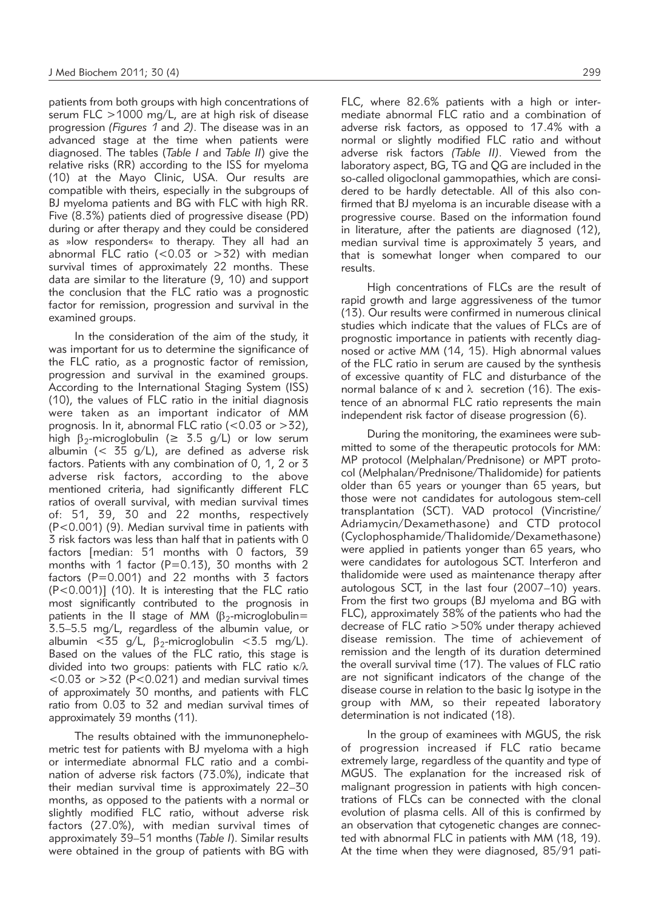patients from both groups with high concentrations of serum FLC >1000 mg/L, are at high risk of disease progression *(Figures 1* and *2)*. The disease was in an advanced stage at the time when patients were diagnosed. The tables (*Table I* and *Table II*) give the relative risks (RR) according to the ISS for myeloma (10) at the Mayo Clinic, USA. Our results are compatible with theirs, especiall*y* in the subgroups of BJ myeloma patients and BG with FLC with high RR. Five (8.3%) patients died of progressive disease (PD) during or after therapy and they could be considered as »low responders« to therapy. They all had an abnormal FLC ratio ( $< 0.03$  or  $> 32$ ) with median survival times of approximately 22 months. These data are similar to the literature (9, 10) and support the conclusion that the FLC ratio was a prognostic factor for remission, progression and survival in the examined groups.

In the consideration of the aim of the study, it was important for us to determine the significance of the FLC ratio, as a prognostic factor of remission, progression and survival in the examined groups. According to the International Staging System (ISS) (10), the values of FLC ratio in the initial diagnosis were taken as an important indicator of MM prognosis. In it, abnormal FLC ratio ( $<$ 0.03 or  $>$ 32), high  $\beta_2$ -microglobulin ( $\geq$  3.5 g/L) or low serum albumin (<  $35$  g/L), are defined as adverse risk factors. Patients with any combination of 0, 1, 2 or 3 adverse risk factors, according to the above mentioned criteria, had significantly different FLC ratios of overall survival, with median survival times of: 51, 39, 30 and 22 months, respectively (P<0.001) (9). Median survival time in patients with 3 risk factors was less than half that in patients with 0 factors [median: 51 months with 0 factors, 39 months with 1 factor ( $P=0.13$ ), 30 months with 2 factors ( $P = 0.001$ ) and 22 months with 3 factors  $(P<0.001)$ ] (10). It is interesting that the FLC ratio most significantly contributed to the prognosis in patients in the II stage of MM ( $\beta$ <sub>2</sub>-microglobulin= 3.5–5.5 mg/L, regardless of the albumin value, or albumin <35 g/L,  $\beta_2$ -microglobulin <3.5 mg/L). Based on the values of the FLC ratio, this stage is divided into two groups: patients with FLC ratio  $\kappa/\lambda$  $<$  0.03 or  $>$  32 (P $<$  0.021) and median survival times of approximately 30 months, and patients with FLC ratio from 0.03 to 32 and median survival times of approximately 39 months (11).

The results obtained with the immunonephelometric test for patients with BJ myeloma with a high or intermediate abnormal FLC ratio and a combination of adverse risk factors (73.0%), indicate that their median survival time is approximately 22-30 months, as opposed to the patients with a normal or slightly modified FLC ratio, without adverse risk factors (27.0%), with median survival times of approximately 39–51 months (*Table I*). Similar results were obtained in the group of patients with BG with FLC, where 82.6% patients with a high or intermediate abnormal FLC ratio and a combination of adverse risk factors, as opposed to 17.4% with a normal or slightly modified FLC ratio and without adverse risk factors *(Table II)*. Viewed from the laboratory aspect, BG, TG and QG are included in the so-called oligoclonal gammopathies, which are considered to be hardly detectable. All of this also confirmed that BJ myeloma is an incurable disease with a progressive course. Based on the information found in literature, after the patients are diagnosed (12), median survival time is approximately 3 years, and that is somewhat longer when compared to our results.

High concentrations of FLCs are the result of rapid growth and large aggressiveness of the tumor (13). Our results were confirmed in numerous clinical studies which indicate that the values of FLCs are of prognostic importance in patients with recently diagnosed or active MM (14, 15). High abnormal values of the FLC ratio in serum are caused by the synthesis of excessive quantity of FLC and disturbance of the normal balance of  $\kappa$  and  $\lambda$  secretion (16). The existence of an abnormal FLC ratio represents the main independent risk factor of disease progression (6).

During the monitoring, the examinees were submitted to some of the therapeutic protocols for MM: MP protocol (Melphalan/Prednisone) or MPT protocol (Melphalan/Prednisone/Thalidomide) for patients older than 65 years or younger than 65 years, but those were not candidates for autologous stem*-*cell transplantation (SCT). VAD protocol (Vincristine/ Adriamvcin/Dexamethasone) and CTD protocol (Cyclo phosphamide/Thalidomide/Dexamethasone) were applied in patients yonger than 65 years, who were candidates for autologous SCT. Interferon and thalidomide were used as maintenance therapy after autologous SCT, in the last four (2007–10) years. From the first two groups (BJ myeloma and BG with FLC), approximately 38% of the patients who had the decrease of FLC ratio >50% under therapy achieved disease remission. The time of achievement of remission and the length of its duration determined the overall survival time (17). The values of FLC ratio are not significant indicators of the change of the disease course in relation to the basic Ig isotype in the group with MM, so their repeated laboratory determination is not indicated (18).

In the group of examinees with MGUS, the risk of progression increased if FLC ratio became extremely large, regardless of the quantity and type of MGUS. The explanation for the increased risk of malignant progression in patients with high concentrations of FLCs can be connected with the clonal evolution of plasma cells. All of this is confirmed by an observation that cytogenetic changes are connected with abnormal FLC in patients with MM (18, 19). At the time when they were diagnosed, 85/91 pati-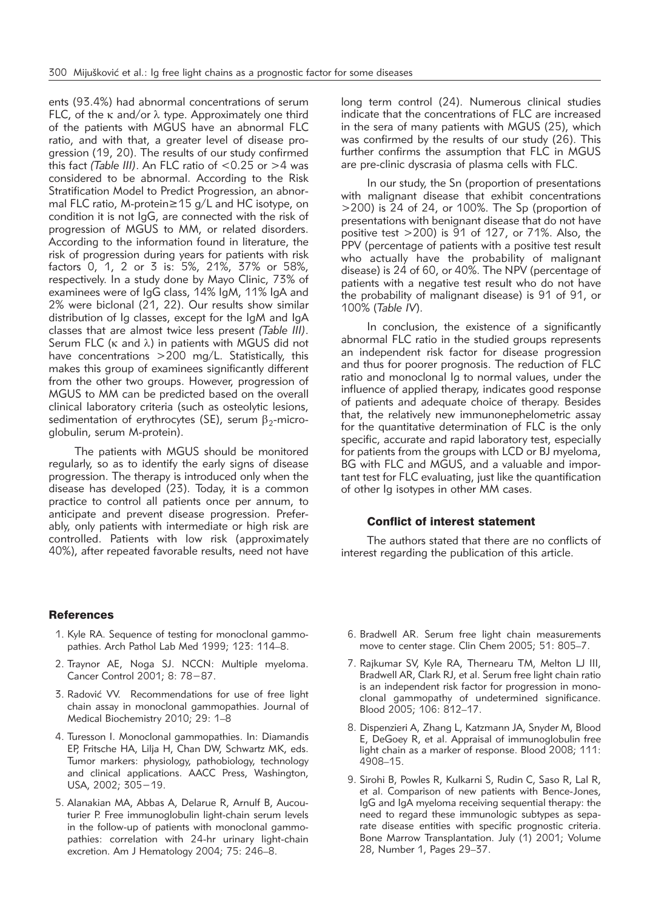ents (93.4%) had abnormal concentrations of serum FLC, of the  $\kappa$  and/or  $\lambda$  type. Approximately one third of the patients with MGUS have an abnormal FLC ratio, and with that, a greater level of disease progression (19, 20). The results of our study confirmed this fact *(Table III)*. An FLC ratio of <0.25 or >4 was considered to be abnormal. According to the Risk Stratification Model to Predict Progression, an abnormal FLC ratio, M-protein≥15 g/L and HC isotype, on condition it is not IgG, are connected with the risk of progression of MGUS to MM, or related disorders. According to the information found in literature, the risk of progression during years for patients with risk factors 0, 1, 2 or 3 is: 5%, 21%, 37% or 58%, respectively. In a study done by Mayo Clinic, 73% of examinees were of IgG class, 14% IgM, 11% IgA and 2% were biclonal (21, 22). Our results show similar distribution of Ig classes, except for the IgM and IgA classes that are almost twice less present *(Table III)*. Serum FLC ( $\kappa$  and  $\lambda$ ) in patients with MGUS did not have concentrations >200 mg/L. Statistically, this makes this group of examinees significantly different from the other two groups. However, progression of MGUS to MM can be predicted based on the overall clinical laboratory criteria (such as osteolytic lesions, sedimentation of erythrocytes (SE), serum  $\beta_2$ -microglobulin, serum M-protein).

The patients with MGUS should be monitored regularly, so as to identify the early signs of disease progression. The therapy is introduced only when the disease has developed (23). Today, it is a common practice to control all patients once per annum, to anticipate and prevent disease progression. Preferably, only patients with intermediate or high risk are controlled. Patients with low risk (approximately 40%), after repeated favorable results, need not have

# **References**

- 1. Kyle RA. Sequence of testing for monoclonal gammopathies. Arch Pathol Lab Med 1999; 123: 114–8.
- 2. Traynor AE, Noga SJ. NCCN: Multiple myeloma. Cancer Control 2001; 8: 78−87.
- 3. Radović VV. Recommendations for use of free light chain assay in monoclonal gammopathies. Journal of Medical Biochemistry 2010; 29: 1–8
- 4. Turesson I. Monoclonal gammopathies. In: Diamandis EP, Fritsche HA, Lilja H, Chan DW, Schwartz MK, eds. Tumor markers: physiology, pathobiology, technology and clinical applications. AACC Press, Washington, USA, 2002; 305−19.
- 5. Alanakian MA, Abbas A, Delarue R, Arnulf B, Aucouturier P. Free immunoglobulin light-chain serum levels in the follow-up of patients with monoclonal gammopathies: correlation with 24-hr urinary light-chain excretion. Am J Hematology 2004; 75: 246-8.

long term control (24). Numerous clinical studies indicate that the concentrations of FLC are increased in the sera of many patients with MGUS (25), which was confirmed by the results of our study (26). This further confirms the assumption that FLC in MGUS are pre-clinic dyscrasia of plasma cells with FLC.

In our study, the Sn (proportion of presentations with malignant disease that exhibit concentrations >200) is 24 of 24, or 100%. The Sp (proportion of presentations with benignant disease that do not have positive test >200) is 91 of 127, or 71%. Also, the PPV (percentage of patients with a positive test result who actually have the probability of malignant disease) is 24 of 60, or 40%. The NPV (percentage of patients with a negative test result who do not have the probability of malignant disease) is 91 of 91, or 100% (*Table IV*).

In conclusion, the existence of a significantly abnormal FLC ratio in the studied groups represents an independent risk factor for disease progression and thus for poorer prognosis. The reduction of FLC ratio and monoclonal Ig to normal values, under the influence of applied therapy, indicates good response of patients and adequate choice of therapy. Besides that, the relatively new immunonephelometric assay for the quantitative determination of FLC is the only specific, accurate and rapid laboratory test, especially for patients from the groups with LCD or BJ myeloma, BG with FLC and MGUS, and a valuable and important test for FLC evaluating, just like the quantification of other Ig isotypes in other MM cases.

# Conflict of interest statement

The authors stated that there are no conflicts of interest regarding the publication of this article.

- 6. Bradwell AR. Serum free light chain measurements move to center stage. Clin Chem 2005; 51: 805–7.
- 7. Rajkumar SV, Kyle RA, Thernearu TM, Melton LJ III, Bradwell AR, Clark RJ, et al. Serum free light chain ratio is an independent risk factor for progression in monoclonal gammopathy of undetermined significance. Blood 2005; 106: 812–17.
- 8. Dispenzieri A, Zhang L, Katzmann JA, Snyder M, Blood E, DeGoey R, et al. Appraisal of immunoglobulin free light chain as a marker of response. Blood 2008; 111: 4908–15.
- 9. Sirohi B, Powles R, Kulkarni S, Rudin C, Saso R, Lal R, et al. Comparison of new patients with Bence-Jones, IgG and IgA myeloma receiving sequential therapy: the need to regard these immunologic subtypes as separate disease entities with specific prognostic criteria. Bone Marrow Transplantation. July (1) 2001; Volume 28, Number 1, Pages 29–37.